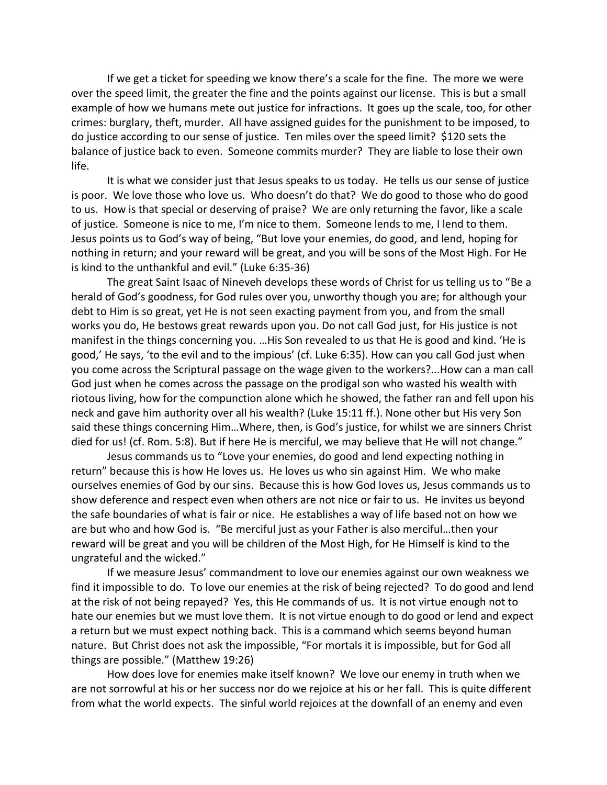If we get a ticket for speeding we know there's a scale for the fine. The more we were over the speed limit, the greater the fine and the points against our license. This is but a small example of how we humans mete out justice for infractions. It goes up the scale, too, for other crimes: burglary, theft, murder. All have assigned guides for the punishment to be imposed, to do justice according to our sense of justice. Ten miles over the speed limit? \$120 sets the balance of justice back to even. Someone commits murder? They are liable to lose their own life.

It is what we consider just that Jesus speaks to us today. He tells us our sense of justice is poor. We love those who love us. Who doesn't do that? We do good to those who do good to us. How is that special or deserving of praise? We are only returning the favor, like a scale of justice. Someone is nice to me, I'm nice to them. Someone lends to me, I lend to them. Jesus points us to God's way of being, "But love your enemies, do good, and lend, hoping for nothing in return; and your reward will be great, and you will be sons of the Most High. For He is kind to the unthankful and evil." (Luke 6:35-36)

The great Saint Isaac of Nineveh develops these words of Christ for us telling us to "Be a herald of God's goodness, for God rules over you, unworthy though you are; for although your debt to Him is so great, yet He is not seen exacting payment from you, and from the small works you do, He bestows great rewards upon you. Do not call God just, for His justice is not manifest in the things concerning you. …His Son revealed to us that He is good and kind. 'He is good,' He says, 'to the evil and to the impious' (cf. Luke 6:35). How can you call God just when you come across the Scriptural passage on the wage given to the workers?...How can a man call God just when he comes across the passage on the prodigal son who wasted his wealth with riotous living, how for the compunction alone which he showed, the father ran and fell upon his neck and gave him authority over all his wealth? (Luke 15:11 ff.). None other but His very Son said these things concerning Him…Where, then, is God's justice, for whilst we are sinners Christ died for us! (cf. Rom. 5:8). But if here He is merciful, we may believe that He will not change."

Jesus commands us to "Love your enemies, do good and lend expecting nothing in return" because this is how He loves us. He loves us who sin against Him. We who make ourselves enemies of God by our sins. Because this is how God loves us, Jesus commands us to show deference and respect even when others are not nice or fair to us. He invites us beyond the safe boundaries of what is fair or nice. He establishes a way of life based not on how we are but who and how God is. "Be merciful just as your Father is also merciful…then your reward will be great and you will be children of the Most High, for He Himself is kind to the ungrateful and the wicked."

If we measure Jesus' commandment to love our enemies against our own weakness we find it impossible to do. To love our enemies at the risk of being rejected? To do good and lend at the risk of not being repayed? Yes, this He commands of us. It is not virtue enough not to hate our enemies but we must love them. It is not virtue enough to do good or lend and expect a return but we must expect nothing back. This is a command which seems beyond human nature. But Christ does not ask the impossible, "For mortals it is impossible, but for God all things are possible." (Matthew 19:26)

How does love for enemies make itself known? We love our enemy in truth when we are not sorrowful at his or her success nor do we rejoice at his or her fall. This is quite different from what the world expects. The sinful world rejoices at the downfall of an enemy and even